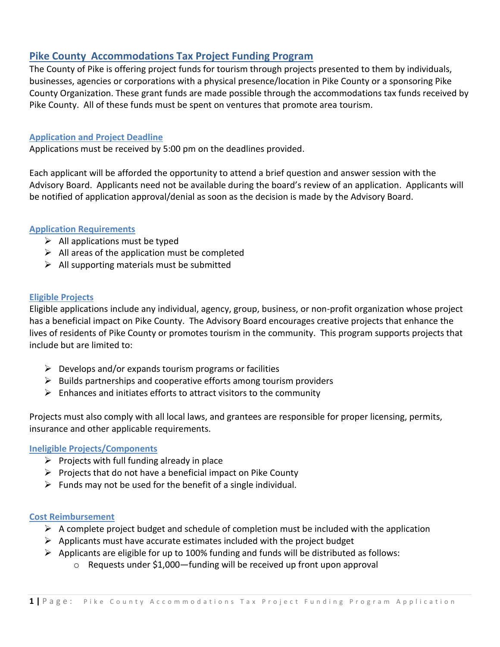# **Pike County Accommodations Tax Project Funding Program**

The County of Pike is offering project funds for tourism through projects presented to them by individuals, businesses, agencies or corporations with a physical presence/location in Pike County or a sponsoring Pike County Organization. These grant funds are made possible through the accommodations tax funds received by Pike County. All of these funds must be spent on ventures that promote area tourism.

## **Application and Project Deadline**

Applications must be received by 5:00 pm on the deadlines provided.

Each applicant will be afforded the opportunity to attend a brief question and answer session with the Advisory Board. Applicants need not be available during the board's review of an application. Applicants will be notified of application approval/denial as soon as the decision is made by the Advisory Board.

## **Application Requirements**

- $\triangleright$  All applications must be typed
- $\triangleright$  All areas of the application must be completed
- $\triangleright$  All supporting materials must be submitted

## **Eligible Projects**

Eligible applications include any individual, agency, group, business, or non-profit organization whose project has a beneficial impact on Pike County. The Advisory Board encourages creative projects that enhance the lives of residents of Pike County or promotes tourism in the community. This program supports projects that include but are limited to:

- $\triangleright$  Develops and/or expands tourism programs or facilities
- $\triangleright$  Builds partnerships and cooperative efforts among tourism providers
- $\triangleright$  Enhances and initiates efforts to attract visitors to the community

Projects must also comply with all local laws, and grantees are responsible for proper licensing, permits, insurance and other applicable requirements.

## **Ineligible Projects/Components**

- $\triangleright$  Projects with full funding already in place
- $\triangleright$  Projects that do not have a beneficial impact on Pike County
- $\triangleright$  Funds may not be used for the benefit of a single individual.

## **Cost Reimbursement**

- $\triangleright$  A complete project budget and schedule of completion must be included with the application
- $\triangleright$  Applicants must have accurate estimates included with the project budget
- ➢ Applicants are eligible for up to 100% funding and funds will be distributed as follows:
	- o Requests under \$1,000—funding will be received up front upon approval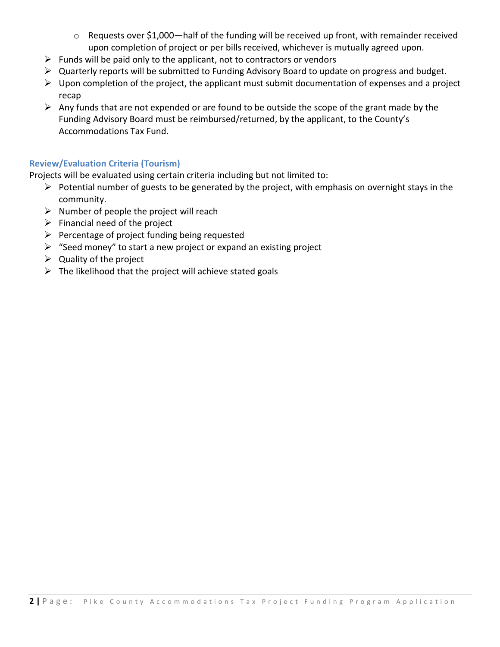- o Requests over \$1,000—half of the funding will be received up front, with remainder received upon completion of project or per bills received, whichever is mutually agreed upon.
- $\triangleright$  Funds will be paid only to the applicant, not to contractors or vendors
- ➢ Quarterly reports will be submitted to Funding Advisory Board to update on progress and budget.
- $\triangleright$  Upon completion of the project, the applicant must submit documentation of expenses and a project recap
- $\triangleright$  Any funds that are not expended or are found to be outside the scope of the grant made by the Funding Advisory Board must be reimbursed/returned, by the applicant, to the County's Accommodations Tax Fund.

## **Review/Evaluation Criteria (Tourism)**

Projects will be evaluated using certain criteria including but not limited to:

- $\triangleright$  Potential number of guests to be generated by the project, with emphasis on overnight stays in the community.
- $\triangleright$  Number of people the project will reach
- $\triangleright$  Financial need of the project
- ➢ Percentage of project funding being requested
- $\triangleright$  "Seed money" to start a new project or expand an existing project
- $\triangleright$  Quality of the project
- $\triangleright$  The likelihood that the project will achieve stated goals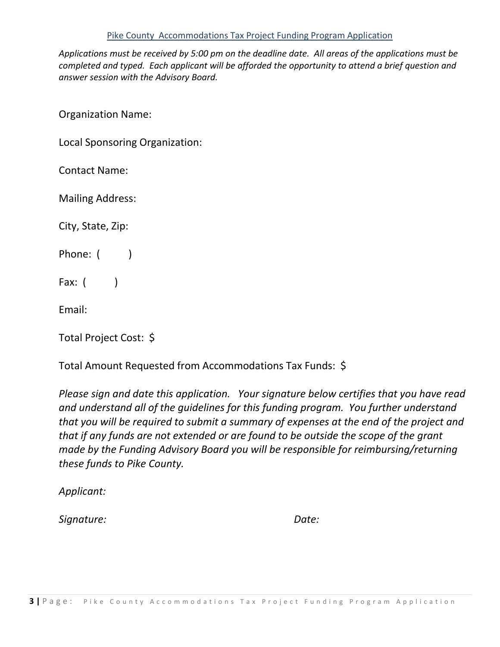## Pike County Accommodations Tax Project Funding Program Application

*Applications must be received by 5:00 pm on the deadline date. All areas of the applications must be completed and typed. Each applicant will be afforded the opportunity to attend a brief question and answer session with the Advisory Board.*

Organization Name:

Local Sponsoring Organization:

Contact Name:

Mailing Address:

City, State, Zip:

Phone: ( )

Fax:  $($ 

Email:

Total Project Cost: \$

Total Amount Requested from Accommodations Tax Funds: \$

*Please sign and date this application. Your signature below certifies that you have read and understand all of the guidelines for this funding program. You further understand that you will be required to submit a summary of expenses at the end of the project and that if any funds are not extended or are found to be outside the scope of the grant made by the Funding Advisory Board you will be responsible for reimbursing/returning these funds to Pike County.*

*Applicant:* 

*Signature: Date:*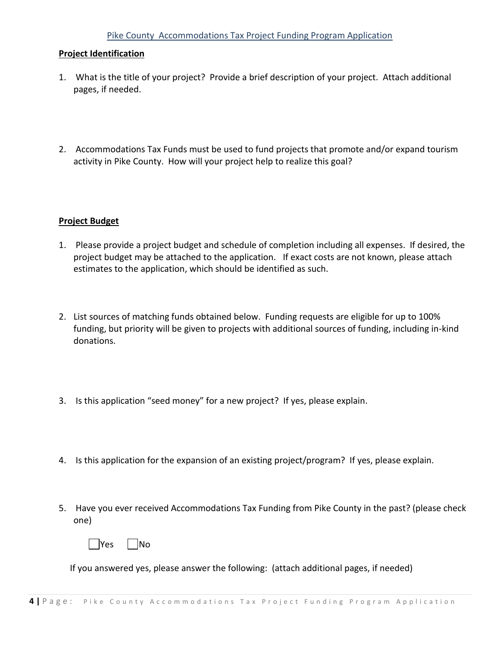## Pike County Accommodations Tax Project Funding Program Application

### **Project Identification**

- 1. What is the title of your project? Provide a brief description of your project. Attach additional pages, if needed.
- 2. Accommodations Tax Funds must be used to fund projects that promote and/or expand tourism activity in Pike County. How will your project help to realize this goal?

#### **Project Budget**

- 1. Please provide a project budget and schedule of completion including all expenses. If desired, the project budget may be attached to the application. If exact costs are not known, please attach estimates to the application, which should be identified as such.
- 2. List sources of matching funds obtained below. Funding requests are eligible for up to 100% funding, but priority will be given to projects with additional sources of funding, including in-kind donations.
- 3. Is this application "seed money" for a new project? If yes, please explain.
- 4. Is this application for the expansion of an existing project/program? If yes, please explain.
- 5. Have you ever received Accommodations Tax Funding from Pike County in the past? (please check one)



If you answered yes, please answer the following: (attach additional pages, if needed)